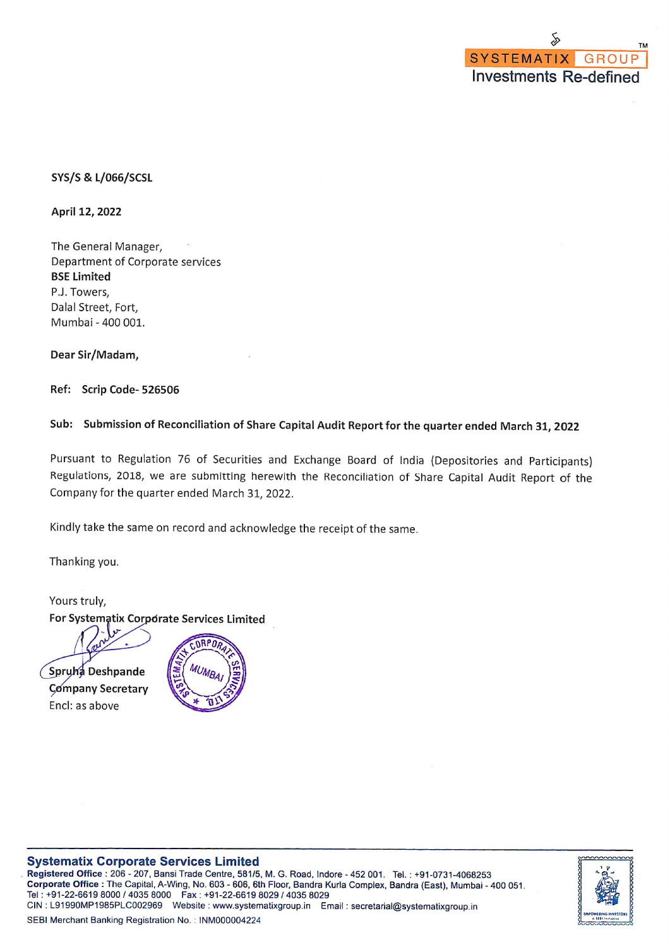### **SYS/S & L/066/SCSL**

April 12, 2022

The General Manager, Department of Corporate services **BSE Limited** P.J. Towers, Dalal Street, Fort, Mumbai - 400 001.

Dear Sir/Madam,

Ref: Scrip Code-526506

# Sub: Submission of Reconciliation of Share Capital Audit Report for the quarter ended March 31, 2022

Pursuant to Regulation 76 of Securities and Exchange Board of India (Depositories and Participants) Regulations, 2018, we are submitting herewith the Reconciliation of Share Capital Audit Report of the Company for the quarter ended March 31, 2022.

Kindly take the same on record and acknowledge the receipt of the same.

Thanking you.

Yours truly, For Systematix Corporate Services Limited

Spruha Deshpande **Company Secretary** 

Encl: as above



#### **Systematix Corporate Services Limited**

Registered Office: 206 - 207, Bansi Trade Centre, 581/5, M. G. Road, Indore - 452 001. Tel.: +91-0731-4068253 Corporate Office : The Capital, A-Wing, No. 603 - 606, 6th Floor, Bandra Kurla Complex, Bandra (East), Mumbai - 400 051. Tel: +91-22-6619 8000 / 4035 8000 Fax: +91-22-6619 8029 / 4035 8029 CIN: L91990MP1985PLC002969 Website: www.systematixgroup.in Email: secretarial@systematixgroup.in

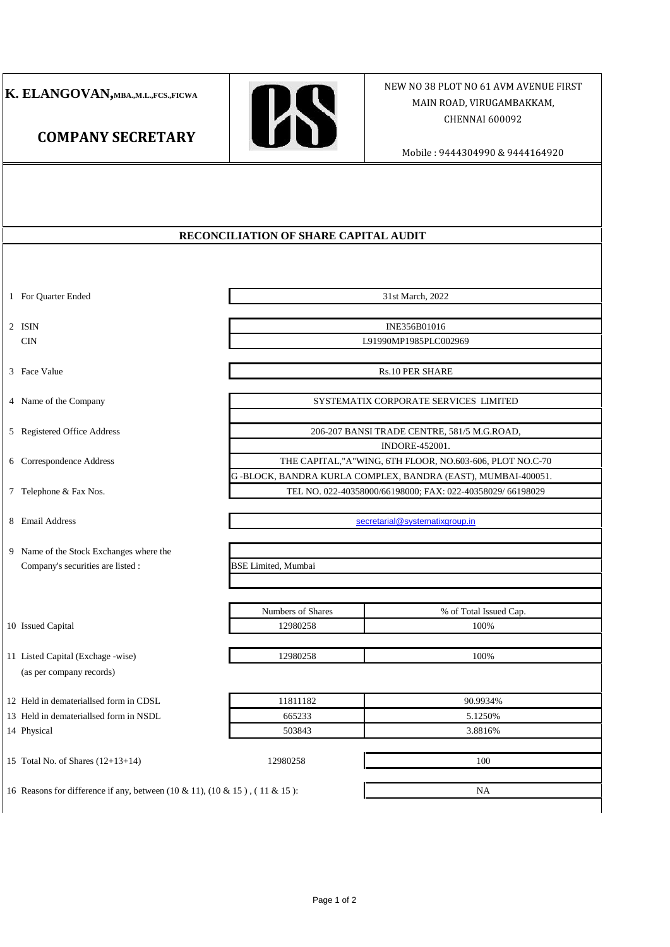# **K. ELANGOVAN,MBA.,M.L.,FCS.,FICWA**

**COMPANY SECRETARY**



## MAIN ROAD, VIRUGAMBAKKAM, NEW NO 38 PLOT NO 61 AVM AVENUE FIRST CHENNAI 600092

#### Mobile : 9444304990 & 9444164920

#### **RECONCILIATION OF SHARE CAPITAL AUDIT**

1 For Quarter Ended

2 ISIN CIN

3 Face Value

4 Name of the Company

5 Registered Office Address

6 Correspondence Address

7 Telephone & Fax Nos.

8 Email Address

9 Name of the Stock Exchanges where the Company's securities are listed :

10 Issued Capital

11 Listed Capital (Exchage -wise) (as per company records)

12 Held in demateriallsed form in CDSL

13 Held in demateriallsed form in NSDL

14 Physical

15 Total No. of Shares (12+13+14) 12980258

INE356B01016

31st March, 2022

L91990MP1985PLC002969

Rs.10 PER SHARE

SYSTEMATIX CORPORATE SERVICES LIMITED

206-207 BANSI TRADE CENTRE, 581/5 M.G.ROAD,

INDORE-452001.

G -BLOCK, BANDRA KURLA COMPLEX, BANDRA (EAST), MUMBAI-400051. THE CAPITAL,"A"WING, 6TH FLOOR, NO.603-606, PLOT NO.C-70

TEL NO. 022-40358000/66198000; FAX: 022-40358029/ 66198029

secretarial@systematixgroup.in

BSE Limited, Mumbai

| Numbers of Shares | % of Total Issued Cap. |
|-------------------|------------------------|
| 12980258          | 100%                   |

12980258 100%

| 11811182 | 90.9934% |
|----------|----------|
| 665233   | 5.1250\% |
| 503843   | 3.8816%  |

16 Reasons for difference if any, between (10 & 11), (10 & 15 ) , ( 11 & 15 ):

100 NA

Page 1 of 2